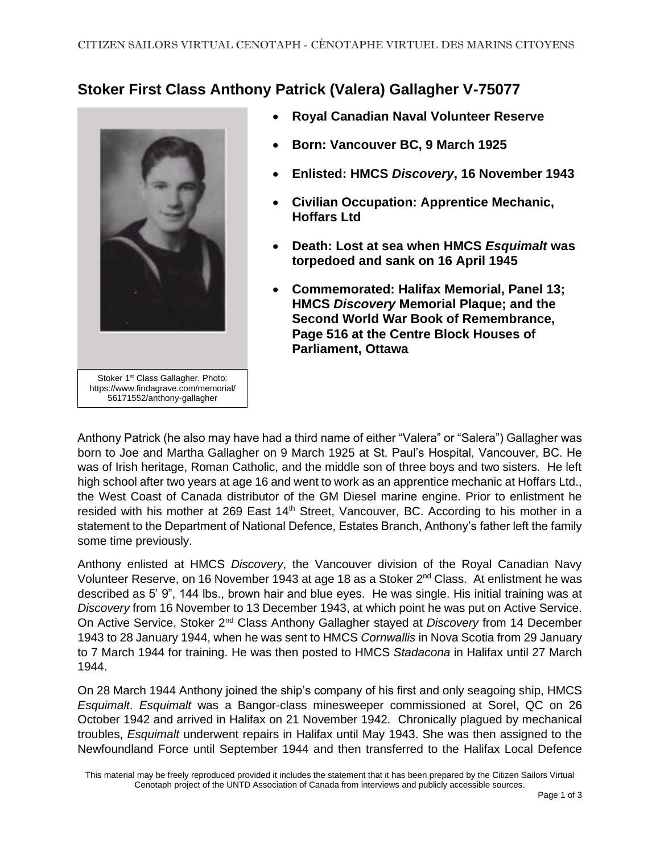## **Stoker First Class Anthony Patrick (Valera) Gallagher V-75077**



- **Royal Canadian Naval Volunteer Reserve**
- **Born: Vancouver BC, 9 March 1925**
- **Enlisted: HMCS** *Discovery***, 16 November 1943**
- **Civilian Occupation: Apprentice Mechanic, Hoffars Ltd**
- **Death: Lost at sea when HMCS** *Esquimalt* **was torpedoed and sank on 16 April 1945**
- **Commemorated: Halifax Memorial, Panel 13; HMCS** *Discovery* **Memorial Plaque; and the Second World War Book of Remembrance, Page 516 at the Centre Block Houses of Parliament, Ottawa**

Anthony Patrick (he also may have had a third name of either "Valera" or "Salera") Gallagher was born to Joe and Martha Gallagher on 9 March 1925 at St. Paul's Hospital, Vancouver, BC. He was of Irish heritage, Roman Catholic, and the middle son of three boys and two sisters. He left high school after two years at age 16 and went to work as an apprentice mechanic at Hoffars Ltd., the West Coast of Canada distributor of the GM Diesel marine engine. Prior to enlistment he resided with his mother at 269 East 14<sup>th</sup> Street, Vancouver, BC. According to his mother in a statement to the Department of National Defence, Estates Branch, Anthony's father left the family some time previously.

Anthony enlisted at HMCS *Discovery*, the Vancouver division of the Royal Canadian Navy Volunteer Reserve, on 16 November 1943 at age 18 as a Stoker 2nd Class. At enlistment he was described as 5' 9", 144 lbs., brown hair and blue eyes. He was single. His initial training was at *Discovery* from 16 November to 13 December 1943, at which point he was put on Active Service. On Active Service, Stoker 2nd Class Anthony Gallagher stayed at *Discovery* from 14 December 1943 to 28 January 1944, when he was sent to HMCS *Cornwallis* in Nova Scotia from 29 January to 7 March 1944 for training. He was then posted to HMCS *Stadacona* in Halifax until 27 March 1944.

On 28 March 1944 Anthony joined the ship's company of his first and only seagoing ship, HMCS *Esquimalt*. *Esquimalt* was a Bangor-class minesweeper commissioned at Sorel, QC on 26 October 1942 and arrived in Halifax on 21 November 1942. Chronically plagued by mechanical troubles, *Esquimalt* underwent repairs in Halifax until May 1943. She was then assigned to the Newfoundland Force until September 1944 and then transferred to the Halifax Local Defence

This material may be freely reproduced provided it includes the statement that it has been prepared by the Citizen Sailors Virtual Cenotaph project of the UNTD Association of Canada from interviews and publicly accessible sources.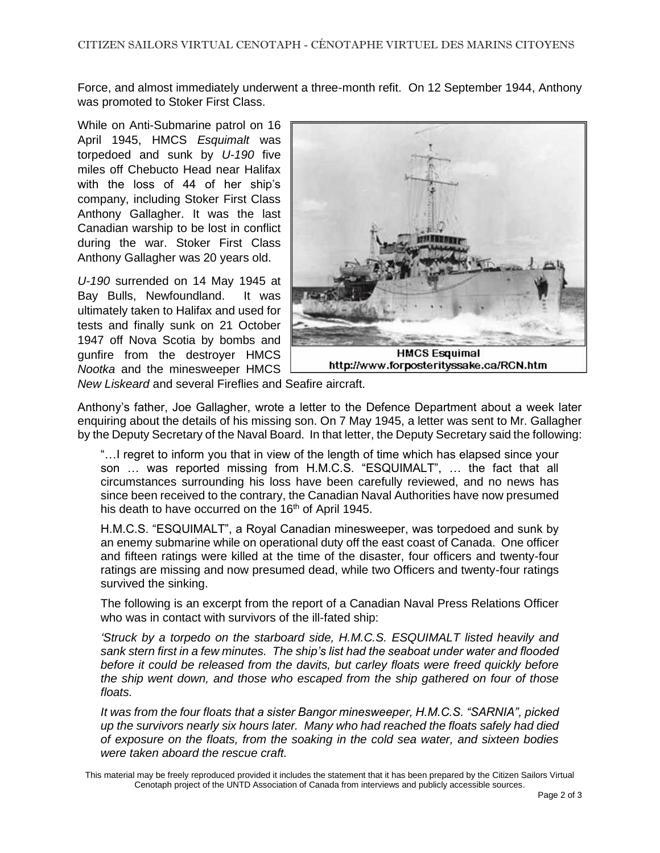Force, and almost immediately underwent a three-month refit. On 12 September 1944, Anthony was promoted to Stoker First Class.

While on Anti-Submarine patrol on 16 April 1945, HMCS *Esquimalt* was torpedoed and sunk by *U-190* five miles off Chebucto Head near Halifax with the loss of 44 of her ship's company, including Stoker First Class Anthony Gallagher. It was the last Canadian warship to be lost in conflict during the war. Stoker First Class Anthony Gallagher was 20 years old.

*U-190* surrended on 14 May 1945 at Bay Bulls, Newfoundland. It was ultimately taken to Halifax and used for tests and finally sunk on 21 October 1947 off Nova Scotia by bombs and gunfire from the destroyer HMCS *Nootka* and the minesweeper HMCS



*New Liskeard* and several Fireflies and Seafire aircraft.

Anthony's father, Joe Gallagher, wrote a letter to the Defence Department about a week later enquiring about the details of his missing son. On 7 May 1945, a letter was sent to Mr. Gallagher by the Deputy Secretary of the Naval Board. In that letter, the Deputy Secretary said the following:

"…I regret to inform you that in view of the length of time which has elapsed since your son … was reported missing from H.M.C.S. "ESQUIMALT", … the fact that all circumstances surrounding his loss have been carefully reviewed, and no news has since been received to the contrary, the Canadian Naval Authorities have now presumed his death to have occurred on the  $16<sup>th</sup>$  of April 1945.

H.M.C.S. "ESQUIMALT", a Royal Canadian minesweeper, was torpedoed and sunk by an enemy submarine while on operational duty off the east coast of Canada. One officer and fifteen ratings were killed at the time of the disaster, four officers and twenty-four ratings are missing and now presumed dead, while two Officers and twenty-four ratings survived the sinking.

The following is an excerpt from the report of a Canadian Naval Press Relations Officer who was in contact with survivors of the ill-fated ship:

*'Struck by a torpedo on the starboard side, H.M.C.S. ESQUIMALT listed heavily and sank stern first in a few minutes. The ship's list had the seaboat under water and flooded before it could be released from the davits, but carley floats were freed quickly before the ship went down, and those who escaped from the ship gathered on four of those floats.*

*It was from the four floats that a sister Bangor minesweeper, H.M.C.S. "SARNIA", picked up the survivors nearly six hours later. Many who had reached the floats safely had died of exposure on the floats, from the soaking in the cold sea water, and sixteen bodies were taken aboard the rescue craft.*

This material may be freely reproduced provided it includes the statement that it has been prepared by the Citizen Sailors Virtual Cenotaph project of the UNTD Association of Canada from interviews and publicly accessible sources.